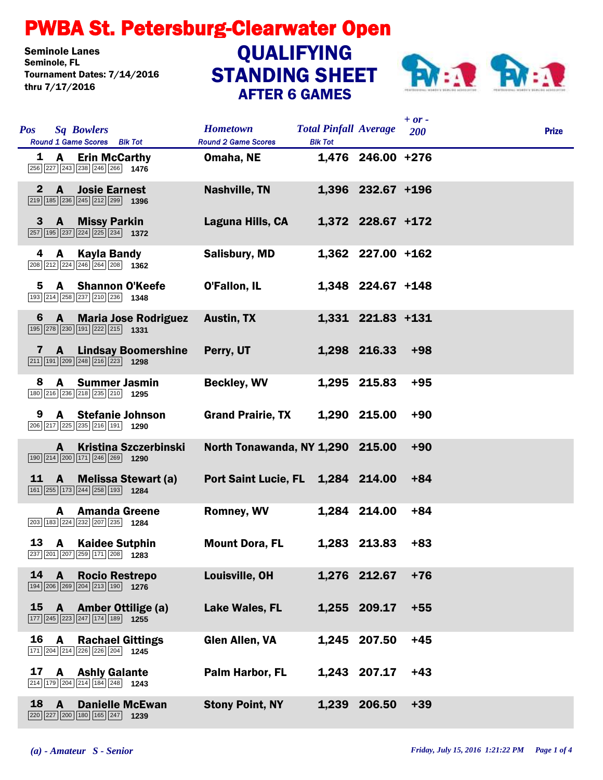## PWBA St. Petersburg-Clearwater Open

Seminole Lanes<br>Seminole, FL Tournament Dates: 7/14/2016 thru 7/17/2016

## STANDING SHEET AFTER 6 GAMES **QUALIFYING**



|              |                                                                                                                                      |                                               |                                                |                   | $+ or -$ |              |
|--------------|--------------------------------------------------------------------------------------------------------------------------------------|-----------------------------------------------|------------------------------------------------|-------------------|----------|--------------|
| <b>Pos</b>   | <b>Sq Bowlers</b><br>Round 1 Game Scores Blk Tot                                                                                     | <b>Hometown</b><br><b>Round 2 Game Scores</b> | <b>Total Pinfall Average</b><br><b>Blk Tot</b> |                   | 200      | <b>Prize</b> |
| 1            | <b>Erin McCarthy</b><br><b>A</b><br>256 227 243 238 246 266 1476                                                                     | Omaha, NE                                     |                                                | 1,476 246.00 +276 |          |              |
| $\mathbf{2}$ | $\mathbf{A}$<br><b>Josie Earnest</b><br>$\boxed{219}$ 185 $\boxed{236}$ $\boxed{245}$ $\boxed{212}$ $\boxed{299}$ 1396               | <b>Nashville, TN</b>                          |                                                | 1,396 232.67 +196 |          |              |
| 3            | <b>A</b><br><b>Missy Parkin</b><br>257 195 237 224 225 234 1372                                                                      | Laguna Hills, CA                              |                                                | 1,372 228.67 +172 |          |              |
| 4            | Kayla Bandy<br>A<br>208 212 224 246 264 208 1362                                                                                     | <b>Salisbury, MD</b>                          |                                                | 1,362 227.00 +162 |          |              |
| 5            | A Shannon O'Keefe<br>193 214 258 237 210 236 1348                                                                                    | O'Fallon, IL                                  |                                                | 1,348 224.67 +148 |          |              |
| 6            | <b>Maria Jose Rodriguez</b><br>$\mathbf{A}$<br>195 278 230 191 222 215 1331                                                          | <b>Austin, TX</b>                             |                                                | 1,331 221.83 +131 |          |              |
| 7            | <b>Lindsay Boomershine</b><br>A<br>$\boxed{211}$ 191 $\boxed{209}$ $\boxed{248}$ $\boxed{216}$ $\boxed{223}$ 1298                    | Perry, UT                                     |                                                | 1,298 216.33      | $+98$    |              |
| 8            | <b>Summer Jasmin</b><br>A<br>180 216 236 218 235 210 1295                                                                            | <b>Beckley, WV</b>                            |                                                | 1,295 215.83      | $+95$    |              |
| 9            | <b>A</b> Stefanie Johnson<br>206 217 225 235 216 191 1290                                                                            | <b>Grand Prairie, TX</b>                      |                                                | 1,290 215.00      | $+90$    |              |
|              | <b>Kristina Szczerbinski</b><br>A<br>$\boxed{190}$ $\boxed{214}$ $\boxed{200}$ $\boxed{171}$ $\boxed{246}$ $\boxed{269}$ <b>1290</b> | North Tonawanda, NY 1,290 215.00              |                                                |                   | $+90$    |              |
| <u>11</u>    | A<br><b>Melissa Stewart (a)</b><br>161 255 173 244 258 193 1284                                                                      | Port Saint Lucie, FL 1,284 214.00             |                                                |                   | $+84$    |              |
|              | <b>Amanda Greene</b><br>A<br>203 183 224 232 207 235 1284                                                                            | <b>Romney, WV</b>                             |                                                | 1,284 214.00      | $+84$    |              |
| 13           | <b>A</b> Kaidee Sutphin<br>$\boxed{237}$ $\boxed{201}$ $\boxed{207}$ $\boxed{259}$ $\boxed{171}$ $\boxed{208}$ 1283                  | <b>Mount Dora, FL</b>                         |                                                | 1,283 213.83      | $+83$    |              |
| 14           | A<br><b>Rocio Restrepo</b><br>194 206 269 204 213 190 1276                                                                           | Louisville, OH                                |                                                | 1,276 212.67      | $+76$    |              |
| 15           | <b>Amber Ottilige (a)</b><br>$\mathbf{A}$<br>177 245 223 247 174 189 1255                                                            | Lake Wales, FL                                |                                                | 1,255 209.17      | $+55$    |              |
| 16           | A<br><b>Rachael Gittings</b><br>171 204 214 226 226 204 1245                                                                         | <b>Glen Allen, VA</b>                         |                                                | 1,245 207.50      | $+45$    |              |
| 17           | <b>Ashly Galante</b><br>A<br>214 179 204 214 184 248 1243                                                                            | <b>Palm Harbor, FL</b>                        |                                                | 1,243 207.17      | $+43$    |              |
| 18           | $\mathbf{A}$<br><b>Danielle McEwan</b><br>220 227 200 180 165 247 1239                                                               | <b>Stony Point, NY</b>                        | 1,239                                          | 206.50            | $+39$    |              |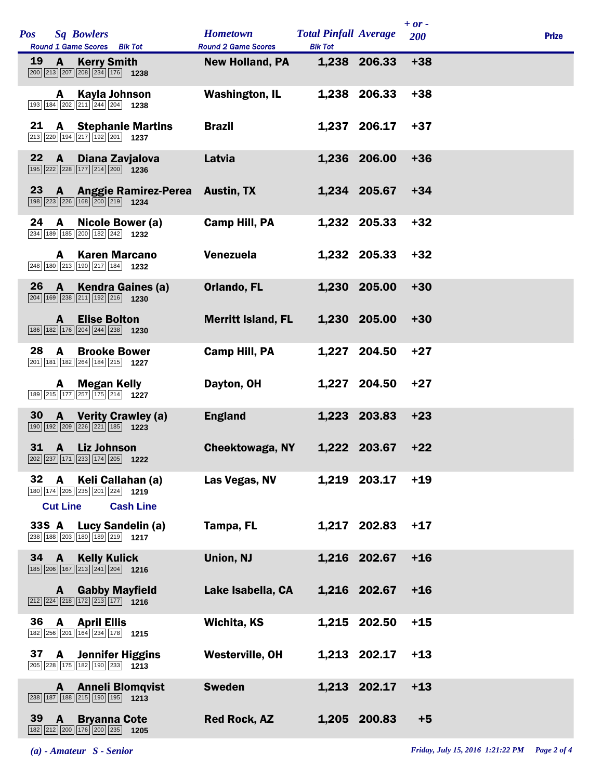| Pos       |                 | <b>Sq Bowlers</b>                                                                                                        | <b>Hometown</b>                                      | <b>Total Pinfall Average</b> |              | $+ or -$<br>200 | <b>Prize</b> |
|-----------|-----------------|--------------------------------------------------------------------------------------------------------------------------|------------------------------------------------------|------------------------------|--------------|-----------------|--------------|
| <b>19</b> | A               | Round 1 Game Scores Blk Tot<br><b>Kerry Smith</b><br>200 213 207 208 234 176 1238                                        | <b>Round 2 Game Scores</b><br><b>New Holland, PA</b> | <b>Blk Tot</b>               | 1,238 206.33 | $+38$           |              |
|           | A               | Kayla Johnson<br>193 184 202 211 244 204 1238                                                                            | <b>Washington, IL</b>                                |                              | 1,238 206.33 | $+38$           |              |
| 21        | A               | <b>Stephanie Martins</b><br>213 220 194 217 192 201 1237                                                                 | <b>Brazil</b>                                        |                              | 1,237 206.17 | $+37$           |              |
| 22        | A               | Diana Zavjalova<br>195 222 228 177 214 200 1236                                                                          | Latvia                                               |                              | 1,236 206.00 | $+36$           |              |
| 23        |                 | <b>A</b> Anggie Ramirez-Perea<br>198 223 226 168 200 219 1234                                                            | <b>Austin, TX</b>                                    |                              | 1,234 205.67 | $+34$           |              |
| 24        | A               | Nicole Bower (a)<br>234 189 185 200 182 242 1232                                                                         | Camp Hill, PA                                        |                              | 1,232 205.33 | $+32$           |              |
|           | A               | <b>Karen Marcano</b><br>248 180 213 190 217 184 1232                                                                     | Venezuela                                            |                              | 1,232 205.33 | $+32$           |              |
| 26        | A               | Kendra Gaines (a)<br>204 169 238 211 192 216 1230                                                                        | <b>Orlando, FL</b>                                   |                              | 1,230 205.00 | $+30$           |              |
|           | A               | <b>Elise Bolton</b><br>186 182 176 204 244 238 1230                                                                      | <b>Merritt Island, FL</b>                            |                              | 1,230 205.00 | $+30$           |              |
| 28        | A               | <b>Brooke Bower</b><br>201 181 182 264 184 215 1227                                                                      | Camp Hill, PA                                        |                              | 1,227 204.50 | $+27$           |              |
|           | A               | <b>Megan Kelly</b><br>189 215 177 257 175 214 1227                                                                       | Dayton, OH                                           |                              | 1,227 204.50 | $+27$           |              |
| 30        | A               | <b>Verity Crawley (a)</b><br>190 192 209 226 221 185 1223                                                                | <b>England</b>                                       |                              | 1,223 203.83 | $+23$           |              |
| 31        | <b>A</b>        | <b>Liz Johnson</b><br>202 237 171 233 174 205 1222                                                                       | <b>Cheektowaga, NY</b>                               |                              | 1,222 203.67 | $+22$           |              |
| 32        | A               | Keli Callahan (a)<br>180 174 205 235 201 224 1219                                                                        | Las Vegas, NV                                        |                              | 1,219 203.17 | $+19$           |              |
|           | <b>Cut Line</b> | <b>Cash Line</b><br>33S A Lucy Sandelin (a)<br>238 188 203 180 189 219 1217                                              | Tampa, FL                                            |                              | 1,217 202.83 | $+17$           |              |
| 34        | $\mathbf{A}$    | <b>Kelly Kulick</b><br>185 206 167 213 241 204 1216                                                                      | Union, NJ                                            |                              | 1,216 202.67 | $+16$           |              |
|           | A               | <b>Gabby Mayfield</b><br>$\boxed{212}$ $\boxed{224}$ $\boxed{218}$ $\boxed{172}$ $\boxed{213}$ $\boxed{177}$ <b>1216</b> | Lake Isabella, CA                                    |                              | 1,216 202.67 | $+16$           |              |
| 36        | A               | <b>April Ellis</b><br>182 256 201 164 234 178 1215                                                                       | Wichita, KS                                          |                              | 1,215 202.50 | $+15$           |              |
| 37        |                 | <b>A</b> Jennifer Higgins<br>205 228 175 182 190 233 1213                                                                | Westerville, OH                                      |                              | 1,213 202.17 | $+13$           |              |
|           | A               | <b>Anneli Blomqvist</b><br>238 187 188 215 190 195 1213                                                                  | <b>Sweden</b>                                        |                              | 1,213 202.17 | $+13$           |              |
| 39        | A               | <b>Bryanna Cote</b><br>182 212 200 176 200 235 1205                                                                      | <b>Red Rock, AZ</b>                                  |                              | 1,205 200.83 | $+5$            |              |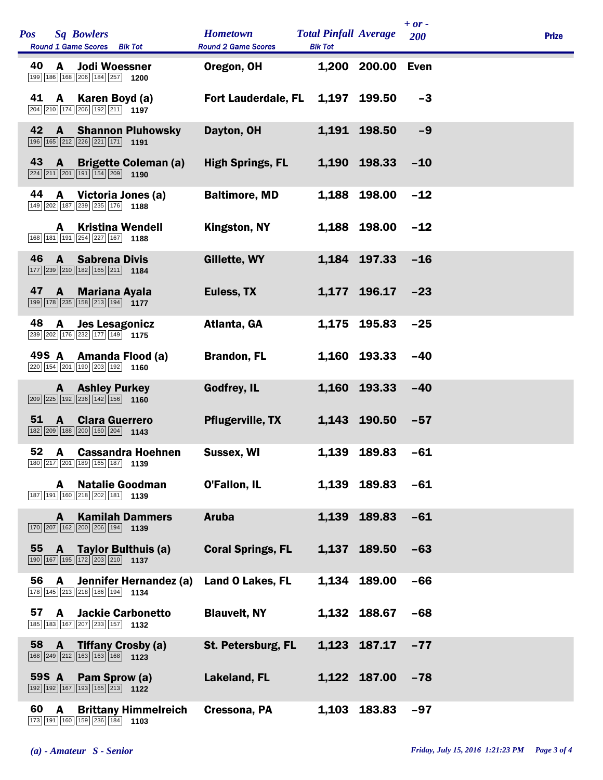| <b>Pos</b><br><b>Sq Bowlers</b><br>Round 1 Game Scores Blk Tot                                                                                       | <b>Hometown</b><br><b>Round 2 Game Scores</b> | <b>Total Pinfall Average</b><br><b>Blk Tot</b> |              | $+ or -$<br>200 | <b>Prize</b> |  |
|------------------------------------------------------------------------------------------------------------------------------------------------------|-----------------------------------------------|------------------------------------------------|--------------|-----------------|--------------|--|
| 40<br><b>Jodi Woessner</b><br>A<br>199 186 168 206 184 257 1200                                                                                      | Oregon, OH                                    |                                                | 1,200 200.00 | Even            |              |  |
| 41 A Karen Boyd (a)<br>204 210 174 206 192 211 197                                                                                                   | <b>Fort Lauderdale, FL</b>                    |                                                | 1,197 199.50 | $-3$            |              |  |
| 42 A Shannon Pluhowsky<br>$\boxed{196}$ $\boxed{165}$ $\boxed{212}$ $\boxed{226}$ $\boxed{221}$ $\boxed{171}$ 1191                                   | Dayton, OH                                    |                                                | 1,191 198.50 | $-9$            |              |  |
| 43<br><b>A</b> Brigette Coleman (a)<br>$\boxed{224}$ $\boxed{211}$ $\boxed{201}$ $\boxed{191}$ $\boxed{154}$ $\boxed{209}$ <b>1190</b>               | <b>High Springs, FL</b>                       |                                                | 1,190 198.33 | $-10$           |              |  |
| 44<br>A<br>Victoria Jones (a)<br>149 202 187 239 235 176 1188                                                                                        | <b>Baltimore, MD</b>                          |                                                | 1,188 198.00 | $-12$           |              |  |
| <b>Kristina Wendell</b><br>A<br>168 181 191 254 227 167 1188                                                                                         | Kingston, NY                                  |                                                | 1,188 198.00 | $-12$           |              |  |
| 46<br>$\mathbf{A}$<br><b>Sabrena Divis</b><br>$\boxed{177}$ $\boxed{239}$ $\boxed{210}$ $\boxed{182}$ $\boxed{165}$ $\boxed{211}$ <b>1184</b>        | Gillette, WY                                  |                                                | 1,184 197.33 | $-16$           |              |  |
| 47<br>A Mariana Ayala<br>199 178 235 158 213 194 1177                                                                                                | Euless, TX                                    |                                                | 1,177 196.17 | $-23$           |              |  |
| 48<br><b>Jes Lesagonicz</b><br>A<br>239 202 176 232 177 149 1775                                                                                     | Atlanta, GA                                   |                                                | 1,175 195.83 | $-25$           |              |  |
| 49S A<br>Amanda Flood (a)<br>$\boxed{220}$ 154 $\boxed{201}$ 190 $\boxed{203}$ 192 1160                                                              | <b>Brandon, FL</b>                            |                                                | 1,160 193.33 | $-40$           |              |  |
| <b>Ashley Purkey</b><br>A.<br>$\boxed{209}$ $\boxed{225}$ $\boxed{192}$ $\boxed{236}$ $\boxed{142}$ $\boxed{156}$ 1160                               | <b>Godfrey, IL</b>                            |                                                | 1,160 193.33 | $-40$           |              |  |
| 51<br>A<br><b>Clara Guerrero</b><br>$\boxed{182}$ $\boxed{209}$ $\boxed{188}$ $\boxed{200}$ $\boxed{160}$ $\boxed{204}$ <b>1143</b>                  | <b>Pflugerville, TX</b>                       |                                                | 1,143 190.50 | $-57$           |              |  |
| 52<br><b>Cassandra Hoehnen</b><br>A<br>180   217   201   189   165   187   1139                                                                      | Sussex, WI                                    |                                                | 1,139 189.83 | $-61$           |              |  |
| <b>Natalie Goodman</b><br>A<br>187 191 160 218 202 181 1139                                                                                          | O'Fallon, IL                                  |                                                | 1,139 189.83 | $-61$           |              |  |
| <b>Kamilah Dammers</b><br>A<br>$\boxed{170}$ $\boxed{207}$ $\boxed{162}$ $\boxed{200}$ $\boxed{206}$ $\boxed{194}$ <b>1139</b>                       | <b>Aruba</b>                                  |                                                | 1,139 189.83 | $-61$           |              |  |
| 55<br>Taylor Bulthuis (a)<br>A<br>$\boxed{190}$ $\boxed{167}$ $\boxed{195}$ $\boxed{172}$ $\boxed{203}$ $\boxed{210}$ <b>1137</b>                    | <b>Coral Springs, FL</b>                      |                                                | 1,137 189.50 | $-63$           |              |  |
| 56<br>Jennifer Hernandez (a)<br>A<br>178 145 213 218 186 194 1134                                                                                    | <b>Land O Lakes, FL</b>                       |                                                | 1,134 189.00 | $-66$           |              |  |
| 57<br><b>Jackie Carbonetto</b><br>A<br>185 183 167 207 233 157 1132                                                                                  | <b>Blauvelt, NY</b>                           |                                                | 1,132 188.67 | -68             |              |  |
| 58<br><b>Tiffany Crosby (a)</b><br>$\mathbf{A}$<br>$\boxed{168}$ $\boxed{249}$ $\boxed{212}$ $\boxed{163}$ $\boxed{163}$ $\boxed{168}$ $\boxed{123}$ | St. Petersburg, FL                            |                                                | 1,123 187.17 | $-77$           |              |  |
| 59S A<br>Pam Sprow (a)<br>192 192 167 193 165 213 122                                                                                                | Lakeland, FL                                  |                                                | 1,122 187.00 | $-78$           |              |  |
| 60<br>A<br><b>Brittany Himmelreich</b><br>173 191 160 159 236 184 1103                                                                               | Cressona, PA                                  |                                                | 1,103 183.83 | $-97$           |              |  |